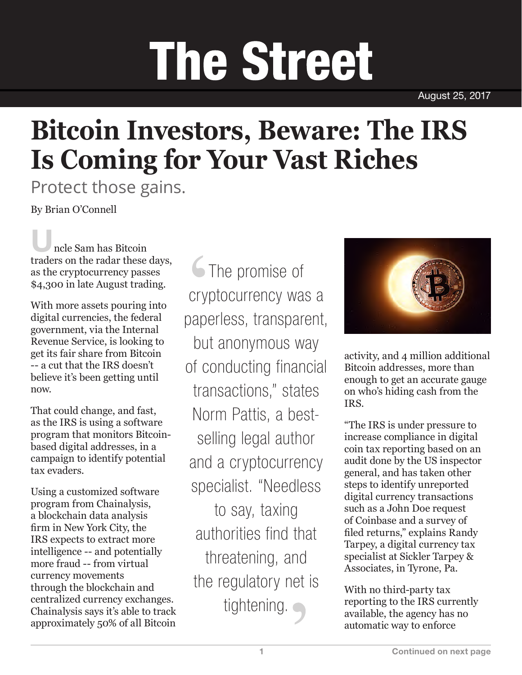## **The Street**

August 25, 2017

## **Bitcoin Investors, Beware: The IRS Is Coming for Your Vast Riches**

Protect those gains.

By Brian O'Connell

ncle Sam has Bitcoin traders on the radar these days, as the cryptocurrency passes \$4,300 in late August trading.

With more assets pouring into digital currencies, the federal government, via the Internal Revenue Service, is looking to get its fair share from Bitcoin -- a cut that the IRS doesn't believe it's been getting until now.

That could change, and fast, as the IRS is using a software program that monitors Bitcoinbased digital addresses, in a campaign to identify potential tax evaders.

Using a customized software program from Chainalysis, a blockchain data analysis firm in New York City, the IRS expects to extract more intelligence -- and potentially more fraud -- from virtual currency movements through the blockchain and centralized currency exchanges. Chainalysis says it's able to track approximately 50% of all Bitcoin

The promise of cryptocurrency was a paperless, transparent, but anonymous way of conducting financial transactions," states Norm Pattis, a bestselling legal author and a cryptocurrency specialist. "Needless to say, taxing authorities find that threatening, and the regulatory net is tightening.



activity, and 4 million additional Bitcoin addresses, more than enough to get an accurate gauge on who's hiding cash from the IRS.

"The IRS is under pressure to increase compliance in digital coin tax reporting based on an audit done by the US inspector general, and has taken other steps to identify unreported digital currency transactions such as a John Doe request of Coinbase and a survey of filed returns," explains Randy Tarpey, a digital currency tax specialist at Sickler Tarpey & Associates, in Tyrone, Pa.

With no third-party tax reporting to the IRS currently available, the agency has no automatic way to enforce